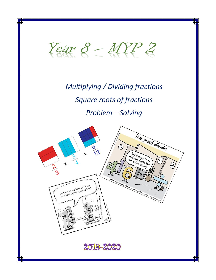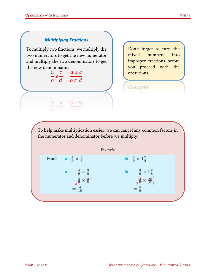### *Multiplying Fractions*

To multiply two fractions, we multiply the two numerators to get the new numerator and multiply the two denominators to get the new denominator.

 $\overline{a}$  $\boldsymbol{b}$  $\chi$  $\mathcal{C}_{0}$  $\boldsymbol{d}$ =  $a \times c$  $b \times d$ 

 $\frac{\partial}{\partial x} \frac{\partial}{\partial y} = \frac{\partial}{\partial x} \frac{\partial}{\partial y}$ 

Don't forget to turn the mixed numbers into improper fractions before you proceed with the operations.

operations.

To help make multiplication easier, we can cancel any common factors in the numerator and denominator before we multiply.

|  |                                                                                            | <b>Example</b>                             |                                                                                                                              |
|--|--------------------------------------------------------------------------------------------|--------------------------------------------|------------------------------------------------------------------------------------------------------------------------------|
|  | Find: $\frac{4}{9} \times \frac{3}{5}$                                                     | <b>b</b> $\frac{4}{9} \times 1\frac{7}{8}$ |                                                                                                                              |
|  |                                                                                            |                                            |                                                                                                                              |
|  | $\frac{4}{9} \times \frac{3}{5}$<br>= $\frac{4}{3} \times \frac{3}{5}$<br>= $\frac{4}{15}$ |                                            | $\begin{array}{c} \frac{4}{9} \times 1 \frac{7}{8} \\ = \frac{1}{3} \frac{4}{9} \times \frac{15}{9} \frac{5}{2} \end{array}$ |
|  |                                                                                            |                                            | $=\frac{5}{6}$                                                                                                               |
|  |                                                                                            |                                            |                                                                                                                              |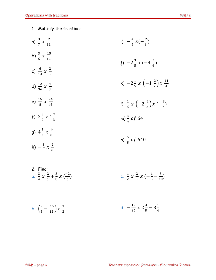1. Multiply the fractions.

| a) $\frac{3}{7} x \frac{2}{11}$                                         | i) $-\frac{4}{5}x(-\frac{2}{3})$                                            |
|-------------------------------------------------------------------------|-----------------------------------------------------------------------------|
| b) $\frac{3}{5}$ x $\frac{15}{12}$                                      | j) $-2\frac{3}{5}x(-4\frac{1}{6})$                                          |
| c) $\frac{6}{13} x \frac{2}{5}$                                         |                                                                             |
| d) $\frac{12}{36}x \frac{4}{8}$                                         | k) $-2\frac{1}{5}x \left(-1\frac{2}{7}\right)x \frac{14}{4}$                |
| e) $\frac{15}{8}$ x $\frac{24}{45}$                                     | 1) $\frac{1}{5} x \left(-2 \frac{2}{3}\right) x \left(-\frac{3}{4}\right)$  |
| f) $2\frac{3}{7}x4\frac{2}{7}$                                          | m) $\frac{3}{4}$ of 64                                                      |
| g) $4\frac{1}{4}x\frac{4}{8}$                                           | n) $\frac{5}{9}$ of 640                                                     |
| h) $-\frac{3}{5}x\frac{2}{6}$                                           |                                                                             |
| 2. Find:<br>a. $\frac{3}{4}x \frac{2}{5} + \frac{5}{8}x (\frac{-2}{5})$ | c. $\frac{1}{2}$ x $\frac{2}{5}$ x $\left(-\frac{1}{5}-\frac{3}{10}\right)$ |
|                                                                         |                                                                             |

b. 
$$
\left(\frac{2}{5} - \frac{15}{12}\right) x \frac{3}{2}
$$
 d.  $-\frac{12}{36} x 2 \frac{4}{8} - 3 \frac{1}{4}$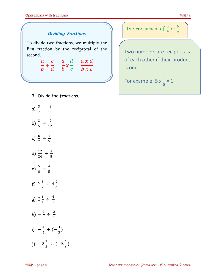### *Dividing Fractions*

To divide two fractions, we multiply the first fraction by the reciprocal of the second.

> $\overline{a}$  $\boldsymbol{b}$ ÷  $\overline{c}$  $\boldsymbol{d}$ =  $\overline{a}$  $\boldsymbol{b}$  $\chi$  $\boldsymbol{d}$  $\mathcal{C}_{0}^{0}$ =  $a x d$  $b \mathrel x c$

- 3. Divide the fractions.
- a)  $\frac{3}{7} \div \frac{2}{11}$ 11 b)  $\frac{3}{5} \div \frac{2}{12}$ 12 c)  $\frac{6}{7} \div \frac{2}{5}$ 5 d)  $\frac{12}{24} \div \frac{4}{8}$ 8 e)  $\frac{5}{8} \div \frac{4}{5}$ 5 f)  $2\frac{3}{7}$  $\frac{3}{7} \div 4\frac{2}{3}$ 3 g)  $3\frac{1}{4}$  $\frac{1}{4} \div \frac{4}{8}$ 8 h)  $-\frac{2}{5}$  $rac{2}{5} \div \frac{2}{6}$ 6 i)  $-\frac{4}{5}$  $\frac{4}{5} \div (-\frac{1}{3})$  $\frac{1}{3}$ j)  $-2\frac{1}{5}$  $\frac{1}{5} \div (-5\frac{1}{6})$  $\frac{1}{6}$

# the reciprocal of  $\frac{a}{b}$  is  $\frac{b}{a}$

Two numbers are reciprocals of each other if their product is one.

For example:  $5 \times \frac{1}{5} = 1$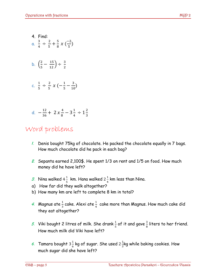- 4. Find: a.  $\frac{3}{7}$  $\frac{3}{4} \div \frac{2}{5}$  $\frac{2}{5} + \frac{5}{8}$  $\frac{5}{8}$  x  $\left(\frac{-2}{5}\right)$  $\frac{2}{5}$ b.  $\left(\frac{2}{5}\right)$  $\frac{2}{5} - \frac{15}{12}$  ÷  $\frac{3}{2}$
- c.  $\frac{1}{7}$  $\frac{1}{5} \div \frac{2}{5}$  $rac{2}{5}$  x (- $rac{1}{5}$  $\frac{1}{5} - \frac{3}{10}$  $\frac{3}{10}$

d. 
$$
-\frac{12}{36} + 2x \frac{4}{8} - 3\frac{1}{4} \div 1\frac{2}{3}
$$

2

## Word problems

- *1.* Denis bought 75kg of chocolate. He packed the chocolate equally in 7 bags. How much chocolate did he pack in each bag?
- *2.* Sepanta earned 2,100\$. He spent 1/3 on rent and 1/5 on food. How much money did he have left?
- *3.* Nina walked 4 $\frac{1}{5}$  $\frac{1}{5}$  km. Hana walked 2 $\frac{1}{4}$  $\frac{1}{4}$  km less than Nina.
- a) How far did they walk altogether?
- b) How many km are left to complete 8 km in total?
- 4. Magnus ate  $\frac{1}{3}$  cake. Alexi ate  $\frac{1}{4}$  cake more than Magnus. How much cake did they eat altogether?
- 5. Viki bought 2 litres of milk. She drank $\frac{1}{5}$  of it and gave  $\frac{3}{8}$  liters to her friend. How much milk did Viki have left?
- 6. Tamara bought 3 $\frac{1}{6}$  $\frac{1}{6}$  kg of sugar. She used 2 $\frac{1}{3}$  $\frac{1}{3}$ kg while baking cookies. How much sugar did she have left?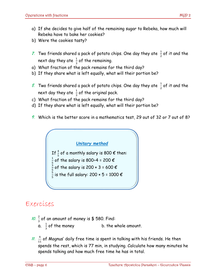- a) If she decides to give half of the remaining sugar to Rebeka, how much will Rebeka have to bake her cookies?
- b) Were the cookies tasty?
- 7. Two friends shared a pack of potato chips. One day they ate  $\frac{1}{2}$  of it and the next day they ate  $\frac{1}{3}$  of the remaining.
- a) What fraction of the pack remains for the third day?
- b) If they share what is left equally, what will their portion be?
- $\mathscr{S}_\cdot$  Two friends shared a pack of potato chips. One day they ate  $\frac{1}{2}$  of it and the next day they ate  $\frac{1}{3}$  of the original pack.
- c) What fraction of the pack remains for the third day?
- d) If they share what is left equally, what will their portion be?
- *9.* Which is the better score in a mathematics test, 29 out of 32 or 7 out of 8?



### Exercises

- *10.*  $\frac{2}{3}$  of an amount of money is \$ 580. Find:
	- a.  $\frac{1}{2}$  $\frac{1}{3}$  of the money b. the whole amount.
- $\mathcal{U}$ ,  $\frac{4}{11}$  of Magnus' daily free time is spent in talking with his friends. He then spends the rest, which is 77 min, in studying. Calculate how many minutes he spends talking and how much free time he has in total.